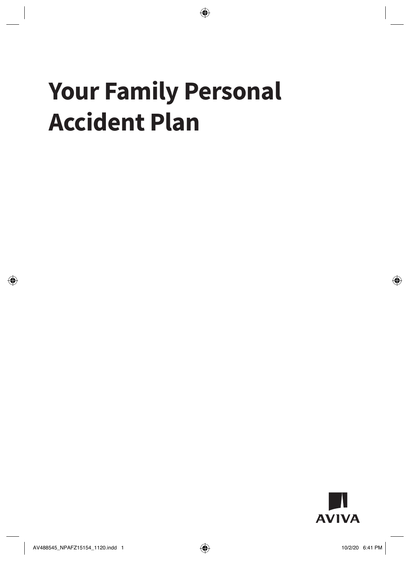# **Your Family Personal Accident Plan**

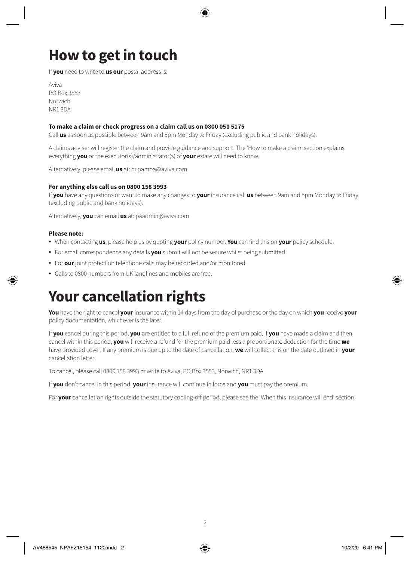# **How to get in touch**

If **you** need to write to **us our** postal address is:

Aviva PO Box 3553 Norwich NR1 3DA

#### **To make a claim or check progress on a claim call us on 0800 051 5175**

Call **us** as soon as possible between 9am and 5pm Monday to Friday (excluding public and bank holidays).

A claims adviser will register the claim and provide guidance and support. The 'How to make a claim' section explains everything **you** or the executor(s)/administrator(s) of **your** estate will need to know.

Alternatively, please email **us** at: hcpamoa@aviva.com

#### **For anything else call us on 0800 158 3993**

If **you** have any questions or want to make any changes to **your** insurance call **us** between 9am and 5pm Monday to Friday (excluding public and bank holidays).

Alternatively, **you** can email **us** at: paadmin@aviva.com

#### **Please note:**

- When contacting **us**, please help us by quoting **your** policy number. **You** can find this on **your** policy schedule.
- For email correspondence any details **you** submit will not be secure whilst being submitted.
- For **our** joint protection telephone calls may be recorded and/or monitored.
- Calls to 0800 numbers from UK landlines and mobiles are free.

### **Your cancellation rights**

**You** have the right to cancel **your** insurance within 14 days from the day of purchase or the day on which **you** receive **your** policy documentation, whichever is the later.

If **you** cancel during this period, **you** are entitled to a full refund of the premium paid. If **you** have made a claim and then cancel within this period, **you** will receive a refund for the premium paid less a proportionate deduction for the time **we** have provided cover. If any premium is due up to the date of cancellation, **we** will collect this on the date outlined in **your**  cancellation letter.

To cancel, please call 0800 158 3993 or write to Aviva, PO Box 3553, Norwich, NR1 3DA.

If **you** don't cancel in this period, **your** insurance will continue in force and **you** must pay the premium.

For **your** cancellation rights outside the statutory cooling-off period, please see the 'When this insurance will end' section.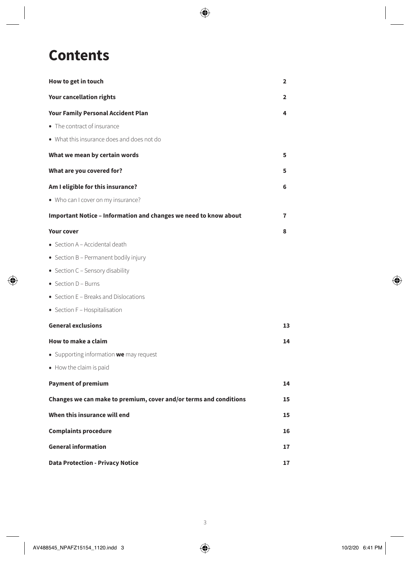# **Contents**

| How to get in touch                                               | 2  |
|-------------------------------------------------------------------|----|
| Your cancellation rights                                          | 2  |
| <b>Your Family Personal Accident Plan</b>                         | 4  |
| • The contract of insurance                                       |    |
| • What this insurance does and does not do                        |    |
| What we mean by certain words                                     | 5  |
| What are you covered for?                                         | 5  |
| Am I eligible for this insurance?                                 | 6  |
| • Who can I cover on my insurance?                                |    |
| Important Notice - Information and changes we need to know about  | 7  |
| <b>Your cover</b>                                                 | 8  |
| • Section A - Accidental death                                    |    |
| • Section B - Permanent bodily injury                             |    |
| • Section C - Sensory disability                                  |    |
| $\bullet$ Section D - Burns                                       |    |
| • Section E - Breaks and Dislocations                             |    |
| • Section F - Hospitalisation                                     |    |
| <b>General exclusions</b>                                         | 13 |
| How to make a claim                                               | 14 |
| • Supporting information we may request                           |    |
| • How the claim is paid                                           |    |
| <b>Payment of premium</b>                                         | 14 |
| Changes we can make to premium, cover and/or terms and conditions | 15 |
| When this insurance will end                                      | 15 |
| <b>Complaints procedure</b>                                       | 16 |
| <b>General information</b>                                        |    |
| <b>Data Protection - Privacy Notice</b>                           |    |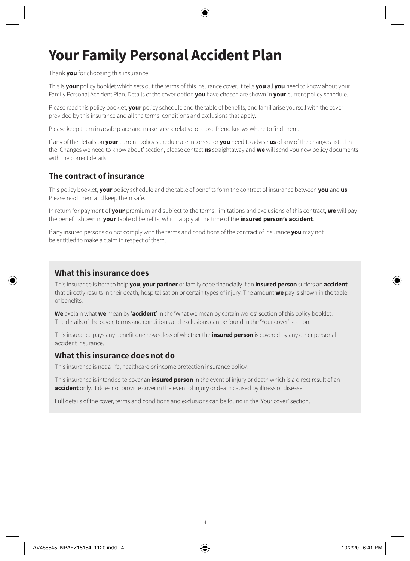# **Your Family Personal Accident Plan**

Thank **you** for choosing this insurance.

This is **your** policy booklet which sets out the terms of this insurance cover. It tells **you** all **you** need to know about your Family Personal Accident Plan. Details of the cover option **you** have chosen are shown in **your** current policy schedule.

Please read this policy booklet, **your** policy schedule and the table of benefits, and familiarise yourself with the cover provided by this insurance and all the terms, conditions and exclusions that apply.

Please keep them in a safe place and make sure a relative or close friend knows where to find them.

If any of the details on **your** current policy schedule are incorrect or **you** need to advise **us** of any of the changes listed in the 'Changes we need to know about' section, please contact **us** straightaway and **we** will send you new policy documents with the correct details.

### **The contract of insurance**

This policy booklet, **your** policy schedule and the table of benefits form the contract of insurance between **you** and **us**. Please read them and keep them safe.

In return for payment of **your** premium and subject to the terms, limitations and exclusions of this contract, **we** will pay the benefit shown in **your** table of benefits, which apply at the time of the **insured person's accident**.

If any insured persons do not comply with the terms and conditions of the contract of insurance **you** may not be entitled to make a claim in respect of them.

### **What this insurance does**

This insurance is here to help **you**, **your partner** or family cope financially if an **insured person** suffers an **accident** that directly results in their death, hospitalisation or certain types of injury. The amount **we** pay is shown in the table of benefits.

**We** explain what **we** mean by '**accident**' in the 'What we mean by certain words' section of this policy booklet. The details of the cover, terms and conditions and exclusions can be found in the 'Your cover' section.

This insurance pays any benefit due regardless of whether the **insured person** is covered by any other personal accident insurance.

### **What this insurance does not do**

This insurance is not a life, healthcare or income protection insurance policy.

This insurance is intended to cover an **insured person** in the event of injury or death which is a direct result of an **accident** only. It does not provide cover in the event of injury or death caused by illness or disease.

Full details of the cover, terms and conditions and exclusions can be found in the 'Your cover' section.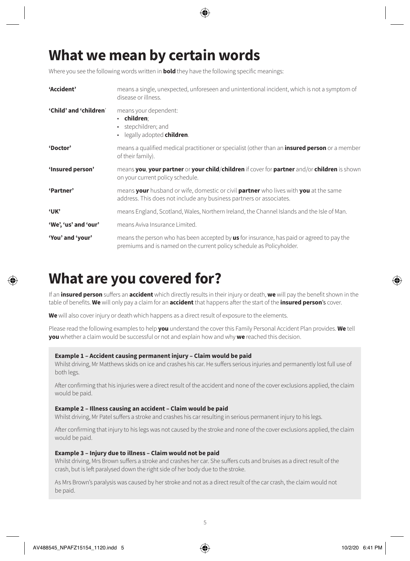# **What we mean by certain words**

Where you see the following words written in **bold** they have the following specific meanings:

| 'Accident'             | means a single, unexpected, unforeseen and unintentional incident, which is not a symptom of<br>disease or illness.                                                       |
|------------------------|---------------------------------------------------------------------------------------------------------------------------------------------------------------------------|
| 'Child' and 'children' | means your dependent:<br>$\cdot$ children:<br>stepchildren; and<br>legally adopted <b>children</b> .<br>٠                                                                 |
| 'Doctor'               | means a qualified medical practitioner or specialist (other than an <b>insured person</b> or a member<br>of their family).                                                |
| 'Insured person'       | means you, your partner or your child/children if cover for partner and/or children is shown<br>on your current policy schedule.                                          |
| 'Partner'              | means your husband or wife, domestic or civil partner who lives with you at the same<br>address. This does not include any business partners or associates.               |
| 'UК'                   | means England, Scotland, Wales, Northern Ireland, the Channel Islands and the Isle of Man.                                                                                |
| 'We', 'us' and 'our'   | means Aviva Insurance Limited.                                                                                                                                            |
| 'You' and 'your'       | means the person who has been accepted by <b>us</b> for insurance, has paid or agreed to pay the<br>premiums and is named on the current policy schedule as Policyholder. |

### **What are you covered for?**

If an **insured person** suffers an **accident** which directly results in their injury or death, **we** will pay the benefit shown in the table of benefits. **We** will only pay a claim for an **accident** that happens after the start of the **insured person**'s cover.

**We** will also cover injury or death which happens as a direct result of exposure to the elements.

Please read the following examples to help **you** understand the cover this Family Personal Accident Plan provides. **We** tell **you** whether a claim would be successful or not and explain how and why **we** reached this decision.

#### **Example 1 – Accident causing permanent injury – Claim would be paid**

Whilst driving, Mr Matthews skids on ice and crashes his car. He suffers serious injuries and permanently lost full use of both legs.

After confirming that his injuries were a direct result of the accident and none of the cover exclusions applied, the claim would be paid.

#### **Example 2 – Illness causing an accident – Claim would be paid**

Whilst driving, Mr Patel suffers a stroke and crashes his car resulting in serious permanent injury to his legs.

After confirming that injury to his legs was not caused by the stroke and none of the cover exclusions applied, the claim would be paid.

#### **Example 3 – Injury due to illness – Claim would not be paid**

Whilst driving, Mrs Brown suffers a stroke and crashes her car. She suffers cuts and bruises as a direct result of the crash, but is left paralysed down the right side of her body due to the stroke.

As Mrs Brown's paralysis was caused by her stroke and not as a direct result of the car crash, the claim would not be paid.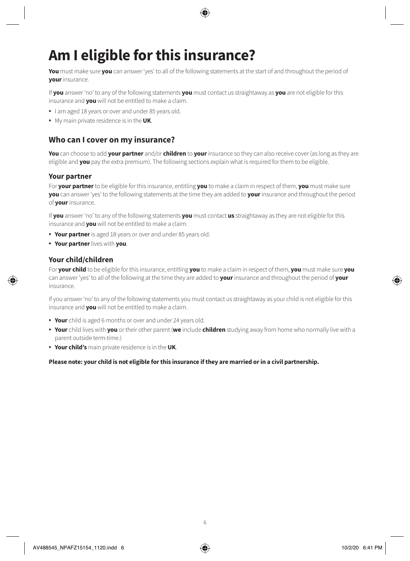# **Am I eligible for this insurance?**

**You** must make sure **you** can answer 'yes' to all of the following statements at the start of and throughout the period of **your** insurance.

If **you** answer 'no' to any of the following statements **you** must contact us straightaway as **you** are not eligible for this insurance and **you** will not be entitled to make a claim.

- I am aged 18 years or over and under 85 years old.
- My main private residence is in the **UK**.

### **Who can I cover on my insurance?**

**You** can choose to add **your partner** and/or **children** to **your** insurance so they can also receive cover (as long as they are eligible and **you** pay the extra premium). The following sections explain what is required for them to be eligible.

#### **Your partner**

For **your partner** to be eligible for this insurance, entitling **you** to make a claim in respect of them, **you** must make sure **you** can answer 'yes' to the following statements at the time they are added to **your** insurance and throughout the period of **your** insurance.

If **you** answer 'no' to any of the following statements **you** must contact **us** straightaway as they are not eligible for this insurance and **you** will not be entitled to make a claim.

- **Your partner** is aged 18 years or over and under 85 years old.
- **Your partner** lives with **you**.

#### **Your child/children**

For **your child** to be eligible for this insurance, entitling **you** to make a claim in respect of them, **you** must make sure **you** can answer 'yes' to all of the following at the time they are added to **your** insurance and throughout the period of **your** insurance.

If you answer 'no' to any of the following statements you must contact us straightaway as your child is not eligible for this insurance and **you** will not be entitled to make a claim.

- **Your** child is aged 6 months or over and under 24 years old.
- **Your** child lives with **you** or their other parent (**we** include **children** studying away from home who normally live with a parent outside term-time.)
- **Your child's** main private residence is in the **UK**.

**Please note: your child is not eligible for this insurance if they are married or in a civil partnership.**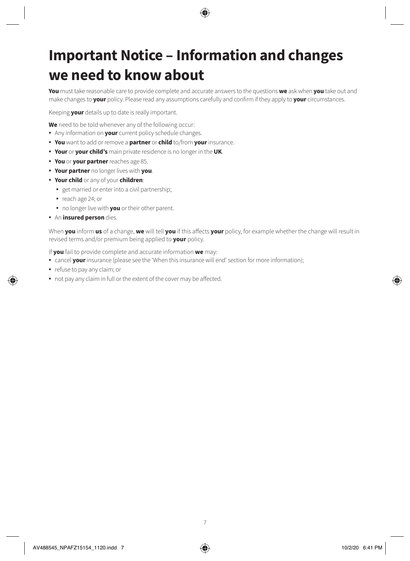# **Important Notice – Information and changes we need to know about**

**You** must take reasonable care to provide complete and accurate answers to the questions **we** ask when **you** take out and make changes to **your** policy. Please read any assumptions carefully and confirm if they apply to **your** circumstances.

Keeping **your** details up to date is really important.

**We** need to be told whenever any of the following occur:

- Any information on **your** current policy schedule changes.
- **You** want to add or remove a **partner** or **child** to/from **your** insurance.
- **Your** or **your child's** main private residence is no longer in the **UK**.
- **You** or **your partner** reaches age 85.
- **Your partner** no longer lives with **you**.
- **Your child** or any of your **children**:
	- get married or enter into a civil partnership;
	- reach age 24; or
	- no longer live with **you** or their other parent.
- An **insured person** dies.

When **you** inform **us** of a change, **we** will tell **you** if this affects **your** policy, for example whether the change will result in revised terms and/or premium being applied to **your** policy.

If **you** fail to provide complete and accurate information **we** may:

- cancel **your** insurance (please see the 'When this insurance will end' section for more information);
- refuse to pay any claim; or
- not pay any claim in full or the extent of the cover may be affected.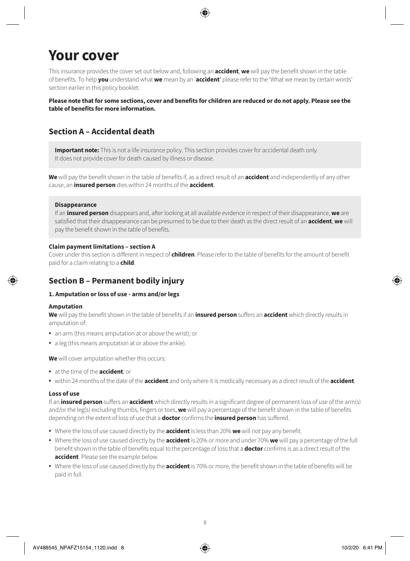# **Your cover**

This insurance provides the cover set out below and, following an **accident**, **we** will pay the benefit shown in the table of benefits. To help **you** understand what **we** mean by an '**accident**' please refer to the 'What we mean by certain words' section earlier in this policy booklet.

**Please note that for some sections, cover and benefits for children are reduced or do not apply. Please see the table of benefits for more information.**

### **Section A – Accidental death**

**Important note:** This is not a life insurance policy. This section provides cover for accidental death only. It does not provide cover for death caused by illness or disease.

**We** will pay the benefit shown in the table of benefits if, as a direct result of an **accident** and independently of any other cause, an **insured person** dies within 24 months of the **accident**.

#### **Disappearance**

If an **insured person** disappears and, after looking at all available evidence in respect of their disappearance, **we** are satisfied that their disappearance can be presumed to be due to their death as the direct result of an **accident**, **we** will pay the benefit shown in the table of benefits.

#### **Claim payment limitations – section A**

Cover under this section is different in respect of **children**. Please refer to the table of benefits for the amount of benefit paid for a claim relating to a **child**.

### **Section B – Permanent bodily injury**

#### **1. Amputation or loss of use - arms and/or legs**

#### **Amputation**

**We** will pay the benefit shown in the table of benefits if an **insured person** suffers an **accident** which directly results in amputation of:

- an arm (this means amputation at or above the wrist); or
- a leg (this means amputation at or above the ankle).

**We** will cover amputation whether this occurs:

- at the time of the **accident**; or
- within 24 months of the date of the **accident** and only where it is medically necessary as a direct result of the **accident**.

#### **Loss of use**

If an **insured person** suffers an **accident** which directly results in a significant degree of permanent loss of use of the arm(s) and/or the leg(s) excluding thumbs, fingers or toes, **we** will pay a percentage of the benefit shown in the table of benefits depending on the extent of loss of use that a **doctor** confirms the **insured person** has suffered.

- Where the loss of use caused directly by the **accident** is less than 20% **we** will not pay any benefit.
- Where the loss of use caused directly by the **accident** is 20% or more and under 70% **we** will pay a percentage of the full benefit shown in the table of benefits equal to the percentage of loss that a **doctor** confirms is as a direct result of the **accident**. Please see the example below.
- Where the loss of use caused directly by the **accident** is 70% or more, the benefit shown in the table of benefits will be paid in full.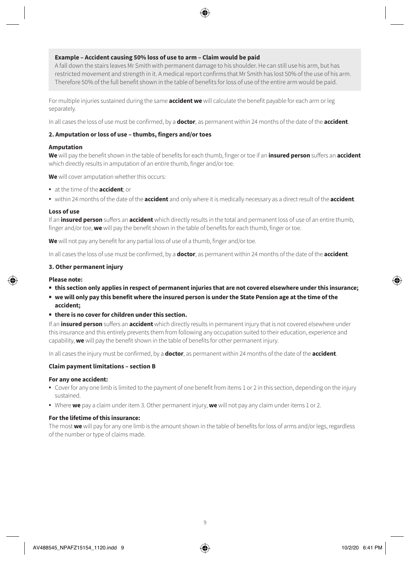#### **Example – Accident causing 50% loss of use to arm – Claim would be paid**

A fall down the stairs leaves Mr Smith with permanent damage to his shoulder. He can still use his arm, but has restricted movement and strength in it. A medical report confirms that Mr Smith has lost 50% of the use of his arm. Therefore 50% of the full benefit shown in the table of benefits for loss of use of the entire arm would be paid.

For multiple injuries sustained during the same **accident we** will calculate the benefit payable for each arm or leg separately.

In all cases the loss of use must be confirmed, by a **doctor**, as permanent within 24 months of the date of the **accident**.

#### **2. Amputation or loss of use – thumbs, fingers and/or toes**

#### **Amputation**

**We** will pay the benefit shown in the table of benefits for each thumb, finger or toe if an **insured person** suffers an **accident** which directly results in amputation of an entire thumb, finger and/or toe.

**We** will cover amputation whether this occurs:

- at the time of the **accident**; or
- within 24 months of the date of the **accident** and only where it is medically necessary as a direct result of the **accident**.

#### **Loss of use**

If an **insured person** suffers an **accident** which directly results in the total and permanent loss of use of an entire thumb, finger and/or toe, **we** will pay the benefit shown in the table of benefits for each thumb, finger or toe.

**We** will not pay any benefit for any partial loss of use of a thumb, finger and/or toe.

In all cases the loss of use must be confirmed, by a **doctor**, as permanent within 24 months of the date of the **accident**.

#### **3. Other permanent injury**

#### **Please note:**

- **• this section only applies in respect of permanent injuries that are not covered elsewhere under this insurance;**
- **• we will only pay this benefit where the insured person is under the State Pension age at the time of the accident;**
- **• there is no cover for children under this section.**

If an **insured person** suffers an **accident** which directly results in permanent injury that is not covered elsewhere under this insurance and this entirely prevents them from following any occupation suited to their education, experience and capability, **we** will pay the benefit shown in the table of benefits for other permanent injury.

In all cases the injury must be confirmed, by a **doctor**, as permanent within 24 months of the date of the **accident**.

#### **Claim payment limitations – section B**

#### **For any one accident:**

- Cover for any one limb is limited to the payment of one benefit from items 1 or 2 in this section, depending on the injury sustained.
- Where **we** pay a claim under item 3. Other permanent injury, **we** will not pay any claim under items 1 or 2.

#### **For the lifetime of this insurance:**

The most **we** will pay for any one limb is the amount shown in the table of benefits for loss of arms and/or legs, regardless of the number or type of claims made.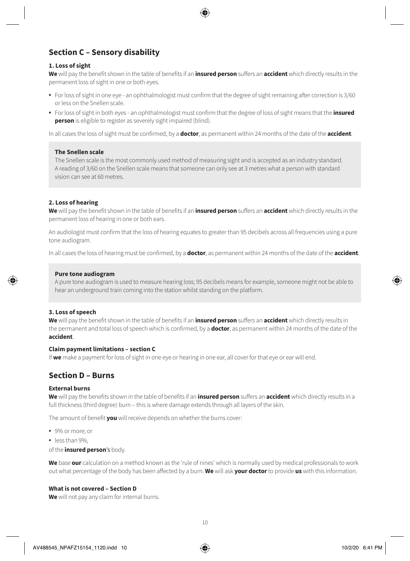### **Section C – Sensory disability**

#### **1. Loss of sight**

**We** will pay the benefit shown in the table of benefits if an **insured person** suffers an **accident** which directly results in the permanent loss of sight in one or both eyes.

- For loss of sight in one eye an ophthalmologist must confirm that the degree of sight remaining after correction is 3/60 or less on the Snellen scale.
- For loss of sight in both eyes an ophthalmologist must confirm that the degree of loss of sight means that the **insured person** is eligible to register as severely sight impaired (blind).

In all cases the loss of sight must be confirmed, by a **doctor**, as permanent within 24 months of the date of the **accident**.

#### **The Snellen scale**

The Snellen scale is the most commonly used method of measuring sight and is accepted as an industry standard. A reading of 3/60 on the Snellen scale means that someone can only see at 3 metres what a person with standard vision can see at 60 metres.

#### **2. Loss of hearing**

**We** will pay the benefit shown in the table of benefits if an **insured person** suffers an **accident** which directly results in the permanent loss of hearing in one or both ears.

An audiologist must confirm that the loss of hearing equates to greater than 95 decibels across all frequencies using a pure tone audiogram.

In all cases the loss of hearing must be confirmed, by a **doctor**, as permanent within 24 months of the date of the **accident**.

#### **Pure tone audiogram**

A pure tone audiogram is used to measure hearing loss; 95 decibels means for example, someone might not be able to hear an underground train coming into the station whilst standing on the platform.

#### **3. Loss of speech**

**We** will pay the benefit shown in the table of benefits if an **insured person** suffers an **accident** which directly results in the permanent and total loss of speech which is confirmed, by a **doctor**, as permanent within 24 months of the date of the **accident**.

#### **Claim payment limitations – section C**

If **we** make a payment for loss of sight in one eye or hearing in one ear, all cover for that eye or ear will end.

### **Section D – Burns**

#### **External burns**

**We** will pay the benefits shown in the table of benefits if an **insured person** suffers an **accident** which directly results in a full thickness (third degree) burn – this is where damage extends through all layers of the skin.

The amount of benefit **you** will receive depends on whether the burns cover:

- 9% or more; or
- less than 9%,

#### of the **insured person**'s body.

**We** base **our** calculation on a method known as the 'rule of nines' which is normally used by medical professionals to work out what percentage of the body has been affected by a burn. **We** will ask **your doctor** to provide **us** with this information.

#### **What is not covered – Section D**

**We** will not pay any claim for internal burns.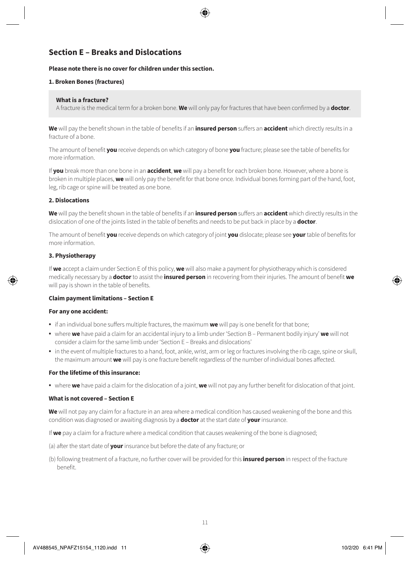### **Section E – Breaks and Dislocations**

#### **Please note there is no cover for children under this section.**

#### **1. Broken Bones (fractures)**

#### **What is a fracture?**

A fracture is the medical term for a broken bone. **We** will only pay for fractures that have been confirmed by a **doctor**.

**We** will pay the benefit shown in the table of benefits if an **insured person** suffers an **accident** which directly results in a fracture of a bone.

The amount of benefit **you** receive depends on which category of bone **you** fracture; please see the table of benefits for more information.

If **you** break more than one bone in an **accident**, **we** will pay a benefit for each broken bone. However, where a bone is broken in multiple places, **we** will only pay the benefit for that bone once. Individual bones forming part of the hand, foot, leg, rib cage or spine will be treated as one bone.

#### **2. Dislocations**

**We** will pay the benefit shown in the table of benefits if an **insured person** suffers an **accident** which directly results in the dislocation of one of the joints listed in the table of benefits and needs to be put back in place by a **doctor**.

The amount of benefit **you** receive depends on which category of joint **you** dislocate; please see **your** table of benefits for more information.

#### **3. Physiotherapy**

If **we** accept a claim under Section E of this policy, **we** will also make a payment for physiotherapy which is considered medically necessary by a **doctor** to assist the **insured person** in recovering from their injuries. The amount of benefit **we** will pay is shown in the table of benefits.

#### **Claim payment limitations – Section E**

#### **For any one accident:**

- if an individual bone suffers multiple fractures, the maximum **we** will pay is one benefit for that bone;
- where **we** have paid a claim for an accidental injury to a limb under 'Section B Permanent bodily injury' **we** will not consider a claim for the same limb under 'Section E – Breaks and dislocations'
- in the event of multiple fractures to a hand, foot, ankle, wrist, arm or leg or fractures involving the rib cage, spine or skull, the maximum amount **we** will pay is one fracture benefit regardless of the number of individual bones affected.

#### **For the lifetime of this insurance:**

• where **we** have paid a claim for the dislocation of a joint, **we** will not pay any further benefit for dislocation of that joint.

#### **What is not covered – Section E**

**We** will not pay any claim for a fracture in an area where a medical condition has caused weakening of the bone and this condition was diagnosed or awaiting diagnosis by a **doctor** at the start date of **your** insurance.

If **we** pay a claim for a fracture where a medical condition that causes weakening of the bone is diagnosed;

- (a) after the start date of **your** insurance but before the date of any fracture; or
- (b) following treatment of a fracture, no further cover will be provided for this **insured person** in respect of the fracture benefit.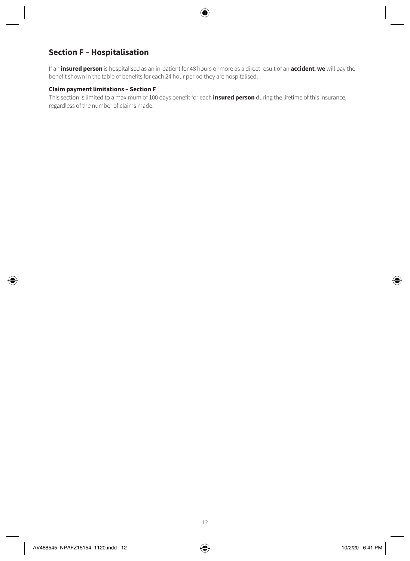### **Section F – Hospitalisation**

If an **insured person** is hospitalised as an in-patient for 48 hours or more as a direct result of an **accident**, **we** will pay the benefit shown in the table of benefits for each 24 hour period they are hospitalised.

#### **Claim payment limitations – Section F**

This section is limited to a maximum of 100 days benefit for each **insured person** during the lifetime of this insurance, regardless of the number of claims made.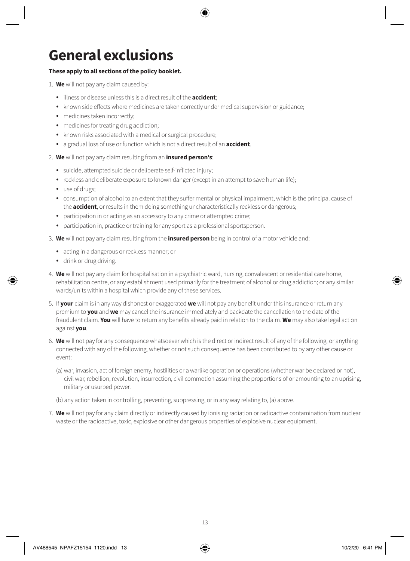# **General exclusions**

#### **These apply to all sections of the policy booklet.**

- 1. **We** will not pay any claim caused by:
	- illness or disease unless this is a direct result of the **accident**;
	- known side effects where medicines are taken correctly under medical supervision or guidance;
	- medicines taken incorrectly;
	- medicines for treating drug addiction;
	- known risks associated with a medical or surgical procedure;
	- a gradual loss of use or function which is not a direct result of an **accident**.
- 2. **We** will not pay any claim resulting from an **insured person's**:
	- suicide, attempted suicide or deliberate self-inflicted injury;
	- reckless and deliberate exposure to known danger (except in an attempt to save human life);
	- use of drugs;
	- consumption of alcohol to an extent that they suffer mental or physical impairment, which is the principal cause of the **accident**, or results in them doing something uncharacteristically reckless or dangerous;
	- participation in or acting as an accessory to any crime or attempted crime;
	- participation in, practice or training for any sport as a professional sportsperson.
- 3. **We** will not pay any claim resulting from the **insured person** being in control of a motor vehicle and:
	- acting in a dangerous or reckless manner; or
	- drink or drug driving.
- 4. **We** will not pay any claim for hospitalisation in a psychiatric ward, nursing, convalescent or residential care home, rehabilitation centre, or any establishment used primarily for the treatment of alcohol or drug addiction; or any similar wards/units within a hospital which provide any of these services.
- 5. If **your** claim is in any way dishonest or exaggerated **we** will not pay any benefit under this insurance or return any premium to **you** and **we** may cancel the insurance immediately and backdate the cancellation to the date of the fraudulent claim. **You** will have to return any benefits already paid in relation to the claim. **We** may also take legal action against **you**.
- 6. **We** will not pay for any consequence whatsoever which is the direct or indirect result of any of the following, or anything connected with any of the following, whether or not such consequence has been contributed to by any other cause or event:
	- (a) war, invasion, act of foreign enemy, hostilities or a warlike operation or operations (whether war be declared or not), civil war, rebellion, revolution, insurrection, civil commotion assuming the proportions of or amounting to an uprising, military or usurped power.
	- (b) any action taken in controlling, preventing, suppressing, or in any way relating to, (a) above.
- 7. **We** will not pay for any claim directly or indirectly caused by ionising radiation or radioactive contamination from nuclear waste or the radioactive, toxic, explosive or other dangerous properties of explosive nuclear equipment.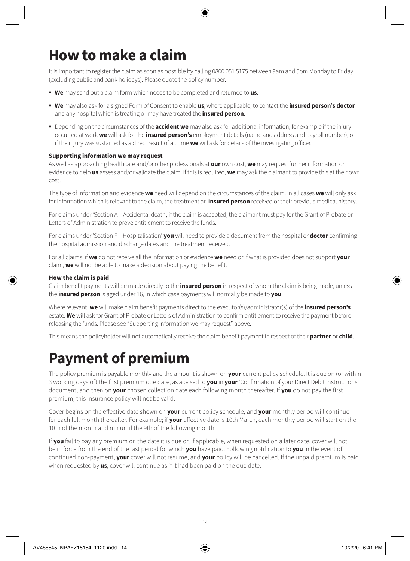# **How to make a claim**

It is important to register the claim as soon as possible by calling 0800 051 5175 between 9am and 5pm Monday to Friday (excluding public and bank holidays). Please quote the policy number.

- **We** may send out a claim form which needs to be completed and returned to **us**.
- **We** may also ask for a signed Form of Consent to enable **us**, where applicable, to contact the **insured person's doctor** and any hospital which is treating or may have treated the **insured person**.
- Depending on the circumstances of the **accident we** may also ask for additional information, for example if the injury occurred at work **we** will ask for the **insured person's** employment details (name and address and payroll number), or if the injury was sustained as a direct result of a crime **we** will ask for details of the investigating officer.

#### **Supporting information we may request**

As well as approaching healthcare and/or other professionals at **our** own cost, **we** may request further information or evidence to help **us** assess and/or validate the claim. If this is required, **we** may ask the claimant to provide this at their own cost.

The type of information and evidence **we** need will depend on the circumstances of the claim. In all cases **we** will only ask for information which is relevant to the claim, the treatment an **insured person** received or their previous medical history.

For claims under 'Section A – Accidental death', if the claim is accepted, the claimant must pay for the Grant of Probate or Letters of Administration to prove entitlement to receive the funds.

For claims under 'Section F – Hospitalisation' **you** will need to provide a document from the hospital or **doctor** confirming the hospital admission and discharge dates and the treatment received.

For all claims, if **we** do not receive all the information or evidence **we** need or if what is provided does not support **your** claim, **we** will not be able to make a decision about paying the benefit.

#### **How the claim is paid**

Claim benefit payments will be made directly to the **insured person** in respect of whom the claim is being made, unless the **insured person** is aged under 16, in which case payments will normally be made to **you**.

Where relevant, **we** will make claim benefit payments direct to the executor(s)/administrator(s) of the **insured person's** estate. **We** will ask for Grant of Probate or Letters of Administration to confirm entitlement to receive the payment before releasing the funds. Please see "Supporting information we may request" above.

This means the policyholder will not automatically receive the claim benefit payment in respect of their **partner** or **child**.

### **Payment of premium**

The policy premium is payable monthly and the amount is shown on **your** current policy schedule. It is due on (or within 3 working days of) the first premium due date, as advised to **you** in **your** 'Confirmation of your Direct Debit instructions' document, and then on **your** chosen collection date each following month thereafter. If **you** do not pay the first premium, this insurance policy will not be valid.

Cover begins on the effective date shown on **your** current policy schedule, and **your** monthly period will continue for each full month thereafter. For example; if **your** effective date is 10th March, each monthly period will start on the 10th of the month and run until the 9th of the following month.

If **you** fail to pay any premium on the date it is due or, if applicable, when requested on a later date, cover will not be in force from the end of the last period for which **you** have paid. Following notification to **you** in the event of continued non-payment, **your** cover will not resume, and **your** policy will be cancelled. If the unpaid premium is paid when requested by **us**, cover will continue as if it had been paid on the due date.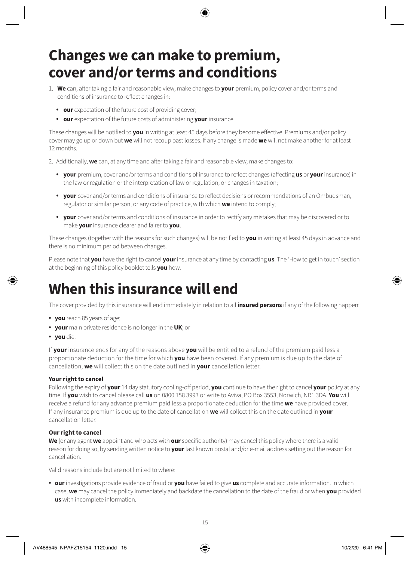# **Changes we can make to premium, cover and/or terms and conditions**

- 1. **We** can, after taking a fair and reasonable view, make changes to **your** premium, policy cover and/or terms and conditions of insurance to reflect changes in:
	- **our** expectation of the future cost of providing cover;
	- **our** expectation of the future costs of administering **your** insurance.

These changes will be notified to **you** in writing at least 45 days before they become effective. Premiums and/or policy cover may go up or down but **we** will not recoup past losses. If any change is made **we** will not make another for at least 12 months.

2. Additionally, **we** can, at any time and after taking a fair and reasonable view, make changes to:

- **your** premium, cover and/or terms and conditions of insurance to reflect changes (affecting **us** or **your** insurance) in the law or regulation or the interpretation of law or regulation, or changes in taxation;
- **your** cover and/or terms and conditions of insurance to reflect decisions or recommendations of an Ombudsman, regulator or similar person, or any code of practice, with which **we** intend to comply;
- **your** cover and/or terms and conditions of insurance in order to rectify any mistakes that may be discovered or to make **your** insurance clearer and fairer to **you**.

These changes (together with the reasons for such changes) will be notified to **you** in writing at least 45 days in advance and there is no minimum period between changes.

Please note that **you** have the right to cancel **your** insurance at any time by contacting **us**. The 'How to get in touch' section at the beginning of this policy booklet tells **you** how.

# **When this insurance will end**

The cover provided by this insurance will end immediately in relation to all **insured persons** if any of the following happen:

- **you** reach 85 years of age;
- **your** main private residence is no longer in the **UK**; or
- **you** die.

If **your** insurance ends for any of the reasons above **you** will be entitled to a refund of the premium paid less a proportionate deduction for the time for which **you** have been covered. If any premium is due up to the date of cancellation, **we** will collect this on the date outlined in **your** cancellation letter.

#### **Your right to cancel**

Following the expiry of **your** 14 day statutory cooling-off period, **you** continue to have the right to cancel **your** policy at any time. If **you** wish to cancel please call **us** on 0800 158 3993 or write to Aviva, PO Box 3553, Norwich, NR1 3DA. **You** will receive a refund for any advance premium paid less a proportionate deduction for the time **we** have provided cover. If any insurance premium is due up to the date of cancellation **we** will collect this on the date outlined in **your** cancellation letter.

#### **Our right to cancel**

**We** (or any agent **we** appoint and who acts with **our** specific authority) may cancel this policy where there is a valid reason for doing so, by sending written notice to **your** last known postal and/or e-mail address setting out the reason for cancellation.

Valid reasons include but are not limited to where:

• **our** investigations provide evidence of fraud or **you** have failed to give **us** complete and accurate information. In which case, **we** may cancel the policy immediately and backdate the cancellation to the date of the fraud or when **you** provided **us** with incomplete information.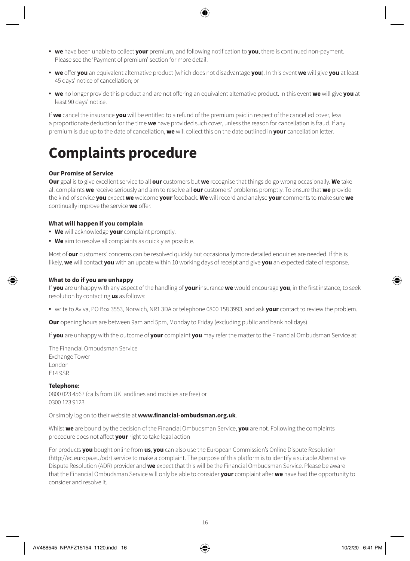- **we** have been unable to collect **your** premium, and following notification to **you**, there is continued non-payment. Please see the 'Payment of premium' section for more detail.
- **we** offer **you** an equivalent alternative product (which does not disadvantage **you**). In this event **we** will give **you** at least 45 days' notice of cancellation; or
- **we** no longer provide this product and are not offering an equivalent alternative product. In this event **we** will give **you** at least 90 days' notice.

If **we** cancel the insurance **you** will be entitled to a refund of the premium paid in respect of the cancelled cover, less a proportionate deduction for the time **we** have provided such cover, unless the reason for cancellation is fraud. If any premium is due up to the date of cancellation, **we** will collect this on the date outlined in **your** cancellation letter.

# **Complaints procedure**

#### **Our Promise of Service**

**Our** goal is to give excellent service to all **our** customers but **we** recognise that things do go wrong occasionally. **We** take all complaints **we** receive seriously and aim to resolve all **our** customers' problems promptly. To ensure that **we** provide the kind of service **you** expect **we** welcome **your** feedback. **We** will record and analyse **your** comments to make sure **we** continually improve the service **we** offer.

#### **What will happen if you complain**

- **We** will acknowledge **your** complaint promptly.
- **We** aim to resolve all complaints as quickly as possible.

Most of **our** customers' concerns can be resolved quickly but occasionally more detailed enquiries are needed. If this is likely, **we** will contact **you** with an update within 10 working days of receipt and give **you** an expected date of response.

#### **What to do if you are unhappy**

If **you** are unhappy with any aspect of the handling of **your** insurance **we** would encourage **you**, in the first instance, to seek resolution by contacting **us** as follows:

• write to Aviva, PO Box 3553, Norwich, NR1 3DA or telephone 0800 158 3993, and ask **your** contact to review the problem.

**Our** opening hours are between 9am and 5pm, Monday to Friday (excluding public and bank holidays).

If **you** are unhappy with the outcome of **your** complaint **you** may refer the matter to the Financial Ombudsman Service at:

The Financial Ombudsman Service Exchange Tower London E14 9SR

#### **Telephone:**

0800 023 4567 (calls from UK landlines and mobiles are free) or 0300 123 9123

Or simply log on to their website at **www.financial-ombudsman.org.uk**.

Whilst **we** are bound by the decision of the Financial Ombudsman Service, **you** are not. Following the complaints procedure does not affect **your** right to take legal action

For products **you** bought online from **us**, **you** can also use the European Commission's Online Dispute Resolution (http://ec.europa.eu/odr) service to make a complaint. The purpose of this platform is to identify a suitable Alternative Dispute Resolution (ADR) provider and **we** expect that this will be the Financial Ombudsman Service. Please be aware that the Financial Ombudsman Service will only be able to consider **your** complaint after **we** have had the opportunity to consider and resolve it.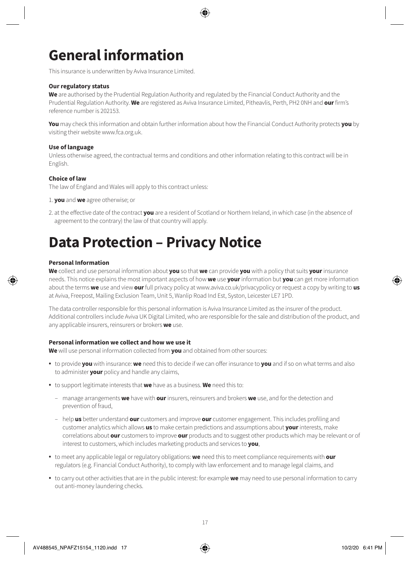# **General information**

This insurance is underwritten by Aviva Insurance Limited.

#### **Our regulatory status**

**We** are authorised by the Prudential Regulation Authority and regulated by the Financial Conduct Authority and the Prudential Regulation Authority. **We** are registered as Aviva Insurance Limited, Pitheavlis, Perth, PH2 0NH and **our** firm's reference number is 202153.

**You** may check this information and obtain further information about how the Financial Conduct Authority protects **you** by visiting their website www.fca.org.uk.

#### **Use of language**

Unless otherwise agreed, the contractual terms and conditions and other information relating to this contract will be in English.

#### **Choice of law**

The law of England and Wales will apply to this contract unless:

- 1. **you** and **we** agree otherwise; or
- 2. at the effective date of the contract **you** are a resident of Scotland or Northern Ireland, in which case (in the absence of agreement to the contrary) the law of that country will apply.

### **Data Protection – Privacy Notice**

#### **Personal Information**

**We** collect and use personal information about **you** so that **we** can provide **you** with a policy that suits **your** insurance needs. This notice explains the most important aspects of how **we** use **your** information but **you** can get more information about the terms **we** use and view **our** full privacy policy at www.aviva.co.uk/privacypolicy or request a copy by writing to **us** at Aviva, Freepost, Mailing Exclusion Team, Unit 5, Wanlip Road Ind Est, Syston, Leicester LE7 1PD.

The data controller responsible for this personal information is Aviva Insurance Limited as the insurer of the product. Additional controllers include Aviva UK Digital Limited, who are responsible for the sale and distribution of the product, and any applicable insurers, reinsurers or brokers **we** use.

#### **Personal information we collect and how we use it**

**We** will use personal information collected from **you** and obtained from other sources:

- to provide **you** with insurance: **we** need this to decide if we can offer insurance to **you** and if so on what terms and also to administer **your** policy and handle any claims,
- to support legitimate interests that **we** have as a business. **We** need this to:
	- manage arrangements **we** have with **our** insurers, reinsurers and brokers **we** use, and for the detection and prevention of fraud,
	- help **us** better understand **our** customers and improve **our** customer engagement. This includes profiling and customer analytics which allows **us** to make certain predictions and assumptions about **your** interests, make correlations about **our** customers to improve **our** products and to suggest other products which may be relevant or of interest to customers, which includes marketing products and services to **you**,
- to meet any applicable legal or regulatory obligations: **we** need this to meet compliance requirements with **our** regulators (e.g. Financial Conduct Authority), to comply with law enforcement and to manage legal claims, and
- to carry out other activities that are in the public interest: for example **we** may need to use personal information to carry out anti-money laundering checks.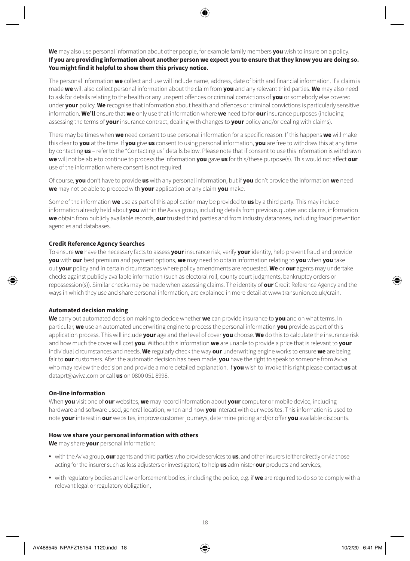**We** may also use personal information about other people, for example family members **you** wish to insure on a policy. **If you are providing information about another person we expect you to ensure that they know you are doing so. You might find it helpful to show them this privacy notice.**

The personal information **we** collect and use will include name, address, date of birth and financial information. If a claim is made **we** will also collect personal information about the claim from **you** and any relevant third parties. **We** may also need to ask for details relating to the health or any unspent offences or criminal convictions of **you** or somebody else covered under **your** policy. **We** recognise that information about health and offences or criminal convictions is particularly sensitive information. **We'll** ensure that **we** only use that information where **we** need to for **our** insurance purposes (including assessing the terms of **your** insurance contract, dealing with changes to **your** policy and/or dealing with claims).

There may be times when **we** need consent to use personal information for a specific reason. If this happens **we** will make this clear to **you** at the time. If **you** give **us** consent to using personal information, **you** are free to withdraw this at any time by contacting **us** – refer to the "Contacting us" details below. Please note that if consent to use this information is withdrawn **we** will not be able to continue to process the information **you** gave **us** for this/these purpose(s). This would not affect **our** use of the information where consent is not required.

Of course, **you** don't have to provide **us** with any personal information, but if **you** don't provide the information **we** need **we** may not be able to proceed with **your** application or any claim **you** make.

Some of the information **we** use as part of this application may be provided to **us** by a third party. This may include information already held about **you** within the Aviva group, including details from previous quotes and claims, information **we** obtain from publicly available records, **our** trusted third parties and from industry databases, including fraud prevention agencies and databases.

#### **Credit Reference Agency Searches**

To ensure **we** have the necessary facts to assess **your** insurance risk, verify **your** identity, help prevent fraud and provide **you** with **our** best premium and payment options, **we** may need to obtain information relating to **you** when **you** take out **your** policy and in certain circumstances where policy amendments are requested. **We** or **our** agents may undertake checks against publicly available information (such as electoral roll, county court judgments, bankruptcy orders or repossession(s)). Similar checks may be made when assessing claims. The identity of **our** Credit Reference Agency and the ways in which they use and share personal information, are explained in more detail at www.transunion.co.uk/crain.

#### **Automated decision making**

**We** carry out automated decision making to decide whether **we** can provide insurance to **you** and on what terms. In particular, **we** use an automated underwriting engine to process the personal information **you** provide as part of this application process. This will include **your** age and the level of cover **you** choose. **We** do this to calculate the insurance risk and how much the cover will cost **you**. Without this information **we** are unable to provide a price that is relevant to **your** individual circumstances and needs. **We** regularly check the way **our** underwriting engine works to ensure **we** are being fair to **our** customers. After the automatic decision has been made, **you** have the right to speak to someone from Aviva who may review the decision and provide a more detailed explanation. If **you** wish to invoke this right please contact **us** at dataprt@aviva.com or call **us** on 0800 051 8998.

#### **On-line information**

When **you** visit one of **our** websites, **we** may record information about **your** computer or mobile device, including hardware and software used, general location, when and how **you** interact with our websites. This information is used to note **your** interest in **our** websites, improve customer journeys, determine pricing and/or offer **you** available discounts.

#### **How we share your personal information with others**

**We** may share **your** personal information:

- with the Aviva group, **our** agents and third parties who provide services to **us**, and other insurers (either directly or via those acting for the insurer such as loss adjusters or investigators) to help **us** administer **our** products and services,
- with regulatory bodies and law enforcement bodies, including the police, e.g. if **we** are required to do so to comply with a relevant legal or regulatory obligation,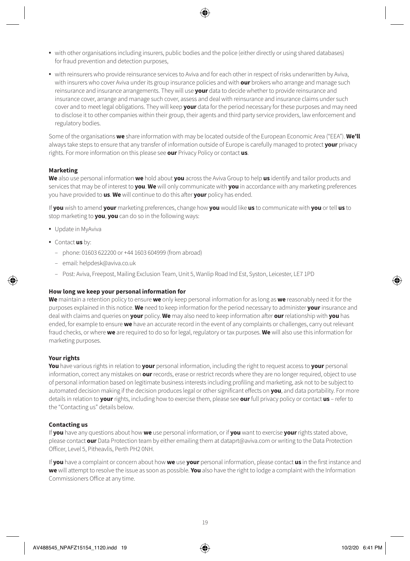- with other organisations including insurers, public bodies and the police (either directly or using shared databases) for fraud prevention and detection purposes,
- with reinsurers who provide reinsurance services to Aviva and for each other in respect of risks underwritten by Aviva, with insurers who cover Aviva under its group insurance policies and with **our** brokers who arrange and manage such reinsurance and insurance arrangements. They will use **your** data to decide whether to provide reinsurance and insurance cover, arrange and manage such cover, assess and deal with reinsurance and insurance claims under such cover and to meet legal obligations. They will keep **your** data for the period necessary for these purposes and may need to disclose it to other companies within their group, their agents and third party service providers, law enforcement and regulatory bodies.

Some of the organisations **we** share information with may be located outside of the European Economic Area ("EEA"). **We'll** always take steps to ensure that any transfer of information outside of Europe is carefully managed to protect **your** privacy rights. For more information on this please see **our** Privacy Policy or contact **us**.

#### **Marketing**

**We** also use personal information **we** hold about **you** across the Aviva Group to help **us** identify and tailor products and services that may be of interest to **you**. **We** will only communicate with **you** in accordance with any marketing preferences you have provided to **us**. **We** will continue to do this after **your** policy has ended.

If **you** wish to amend **your** marketing preferences, change how **you** would like **us** to communicate with **you** or tell **us** to stop marketing to **you**, **you** can do so in the following ways:

- Update in MyAviva
- Contact **us** by:
	- phone: 01603 622200 or +44 1603 604999 (from abroad)
	- email: helpdesk@aviva.co.uk
	- Post: Aviva, Freepost, Mailing Exclusion Team, Unit 5, Wanlip Road Ind Est, Syston, Leicester, LE7 1PD

#### **How long we keep your personal information for**

**We** maintain a retention policy to ensure **we** only keep personal information for as long as **we** reasonably need it for the purposes explained in this notice. **We** need to keep information for the period necessary to administer **your** insurance and deal with claims and queries on **your** policy. **We** may also need to keep information after **our** relationship with **you** has ended, for example to ensure **we** have an accurate record in the event of any complaints or challenges, carry out relevant fraud checks, or where **we** are required to do so for legal, regulatory or tax purposes. **We** will also use this information for marketing purposes.

#### **Your rights**

**You** have various rights in relation to **your** personal information, including the right to request access to **your** personal information, correct any mistakes on **our** records, erase or restrict records where they are no longer required, object to use of personal information based on legitimate business interests including profiling and marketing, ask not to be subject to automated decision making if the decision produces legal or other significant effects on **you**, and data portability. For more details in relation to **your** rights, including how to exercise them, please see **our** full privacy policy or contact **us** – refer to the "Contacting us" details below.

#### **Contacting us**

If **you** have any questions about how **we** use personal information, or if **you** want to exercise **your** rights stated above, please contact **our** Data Protection team by either emailing them at dataprt@aviva.com or writing to the Data Protection Officer, Level 5, Pitheavlis, Perth PH2 0NH.

If **you** have a complaint or concern about how **we** use **your** personal information, please contact **us** in the first instance and **we** will attempt to resolve the issue as soon as possible. **You** also have the right to lodge a complaint with the Information Commissioners Office at any time.